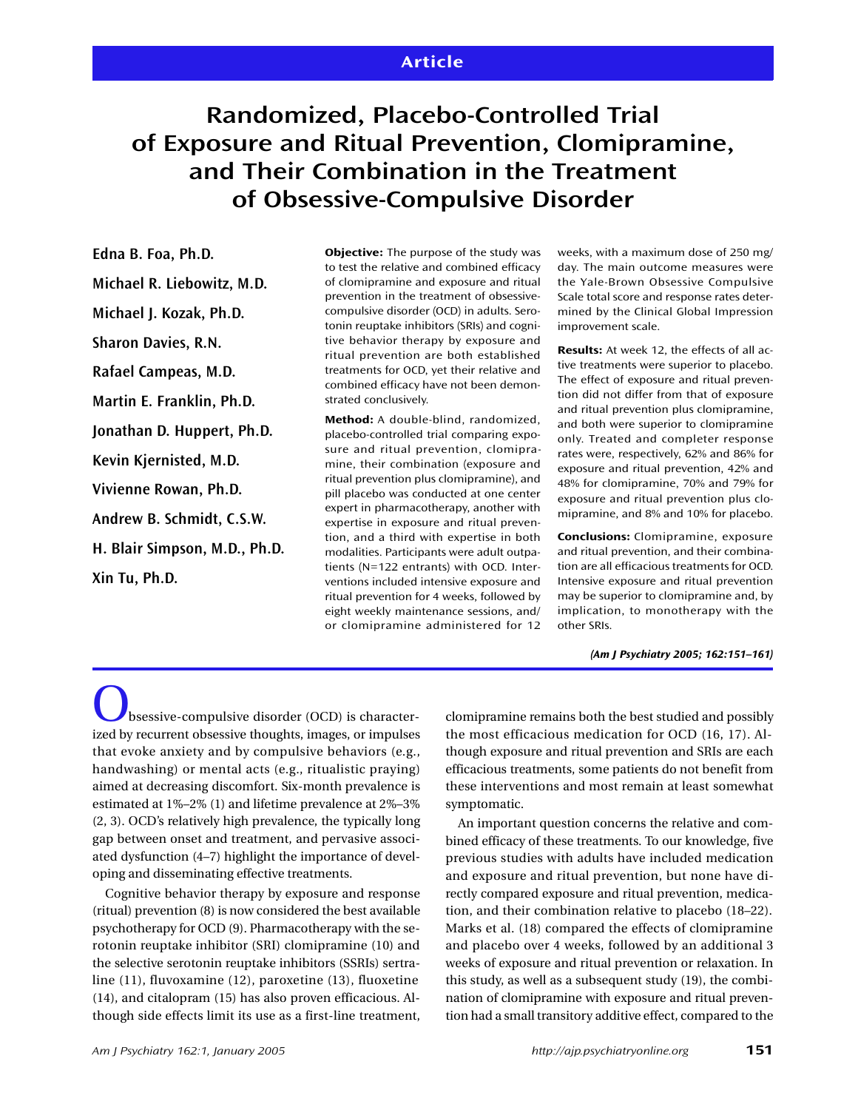# **Randomized, Placebo-Controlled Trial of Exposure and Ritual Prevention, Clomipramine, and Their Combination in the Treatment of Obsessive-Compulsive Disorder**

**Edna B. Foa, Ph.D. Michael R. Liebowitz, M.D. Michael J. Kozak, Ph.D. Sharon Davies, R.N. Rafael Campeas, M.D. Martin E. Franklin, Ph.D. Jonathan D. Huppert, Ph.D. Kevin Kjernisted, M.D. Vivienne Rowan, Ph.D. Andrew B. Schmidt, C.S.W. H. Blair Simpson, M.D., Ph.D. Xin Tu, Ph.D.**

**Objective:** The purpose of the study was to test the relative and combined efficacy of clomipramine and exposure and ritual prevention in the treatment of obsessivecompulsive disorder (OCD) in adults. Serotonin reuptake inhibitors (SRIs) and cognitive behavior therapy by exposure and ritual prevention are both established treatments for OCD, yet their relative and combined efficacy have not been demonstrated conclusively.

**Method:** A double-blind, randomized, placebo-controlled trial comparing exposure and ritual prevention, clomipramine, their combination (exposure and ritual prevention plus clomipramine), and pill placebo was conducted at one center expert in pharmacotherapy, another with expertise in exposure and ritual prevention, and a third with expertise in both modalities. Participants were adult outpatients (N=122 entrants) with OCD. Interventions included intensive exposure and ritual prevention for 4 weeks, followed by eight weekly maintenance sessions, and/ or clomipramine administered for 12 weeks, with a maximum dose of 250 mg/ day. The main outcome measures were the Yale-Brown Obsessive Compulsive Scale total score and response rates determined by the Clinical Global Impression improvement scale.

**Results:** At week 12, the effects of all active treatments were superior to placebo. The effect of exposure and ritual prevention did not differ from that of exposure and ritual prevention plus clomipramine, and both were superior to clomipramine only. Treated and completer response rates were, respectively, 62% and 86% for exposure and ritual prevention, 42% and 48% for clomipramine, 70% and 79% for exposure and ritual prevention plus clomipramine, and 8% and 10% for placebo.

**Conclusions:** Clomipramine, exposure and ritual prevention, and their combination are all efficacious treatments for OCD. Intensive exposure and ritual prevention may be superior to clomipramine and, by implication, to monotherapy with the other SRIs.

*(Am J Psychiatry 2005; 162:151–161)*

 $b$ bsessive-compulsive disorder (OCD) is characterized by recurrent obsessive thoughts, images, or impulses that evoke anxiety and by compulsive behaviors (e.g., handwashing) or mental acts (e.g., ritualistic praying) aimed at decreasing discomfort. Six-month prevalence is estimated at 1%–2% (1) and lifetime prevalence at 2%–3% (2, 3). OCD's relatively high prevalence, the typically long gap between onset and treatment, and pervasive associated dysfunction (4–7) highlight the importance of developing and disseminating effective treatments.

Cognitive behavior therapy by exposure and response (ritual) prevention (8) is now considered the best available psychotherapy for OCD (9). Pharmacotherapy with the serotonin reuptake inhibitor (SRI) clomipramine (10) and the selective serotonin reuptake inhibitors (SSRIs) sertraline (11), fluvoxamine (12), paroxetine (13), fluoxetine (14), and citalopram (15) has also proven efficacious. Although side effects limit its use as a first-line treatment,

clomipramine remains both the best studied and possibly the most efficacious medication for OCD (16, 17). Although exposure and ritual prevention and SRIs are each efficacious treatments, some patients do not benefit from these interventions and most remain at least somewhat symptomatic.

An important question concerns the relative and combined efficacy of these treatments. To our knowledge, five previous studies with adults have included medication and exposure and ritual prevention, but none have directly compared exposure and ritual prevention, medication, and their combination relative to placebo (18–22). Marks et al. (18) compared the effects of clomipramine and placebo over 4 weeks, followed by an additional 3 weeks of exposure and ritual prevention or relaxation. In this study, as well as a subsequent study (19), the combination of clomipramine with exposure and ritual prevention had a small transitory additive effect, compared to the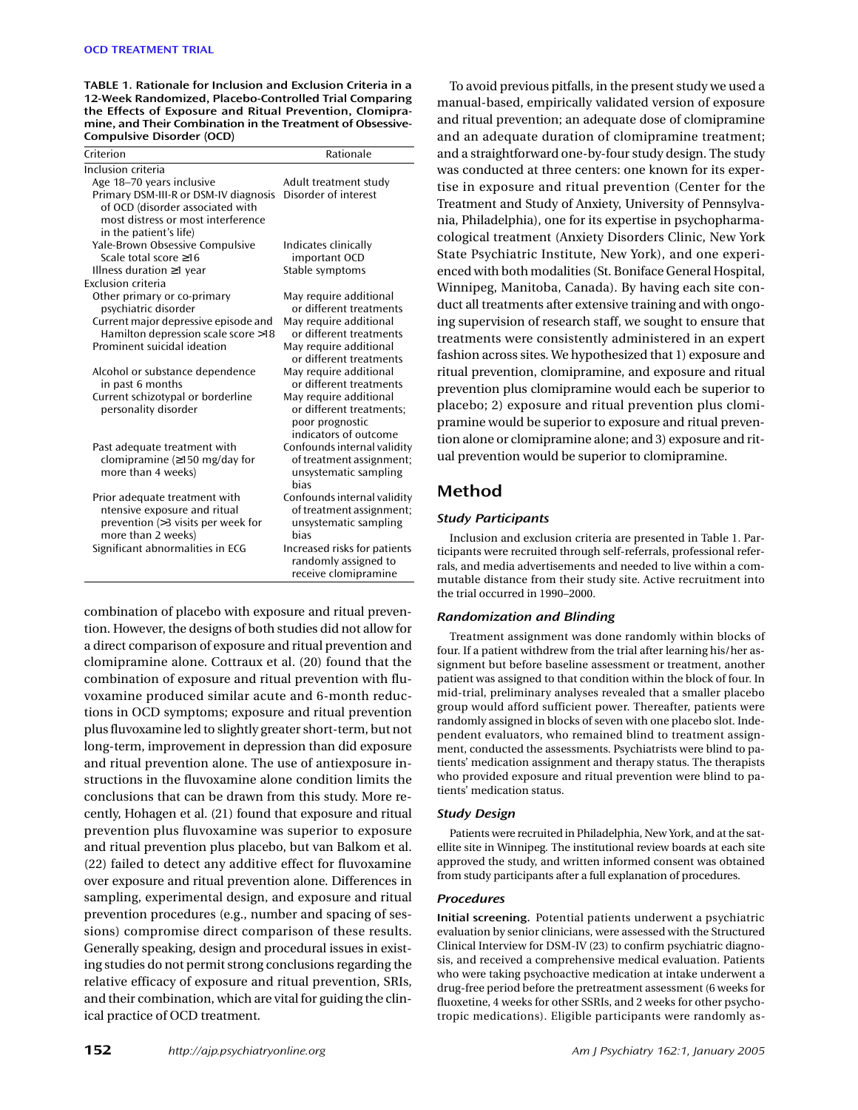**TABLE 1. Rationale for Inclusion and Exclusion Criteria in a 12-Week Randomized, Placebo-Controlled Trial Comparing the Effects of Exposure and Ritual Prevention, Clomipramine, and Their Combination in the Treatment of Obsessive-Compulsive Disorder (OCD)**

| Age 18–70 years inclusive<br>Adult treatment study<br>Disorder of interest<br>Primary DSM-III-R or DSM-IV diagnosis<br>of OCD (disorder associated with<br>most distress or most interference<br>in the patient's life)<br>Yale-Brown Obsessive Compulsive<br>Indicates clinically<br>Scale total score $\geq 16$<br>important OCD<br>Stable symptoms<br>Illness duration $\geq$ 1 year<br>Exclusion criteria<br>Other primary or co-primary<br>May require additional<br>psychiatric disorder<br>or different treatments<br>May require additional<br>Current major depressive episode and<br>Hamilton depression scale score >18<br>or different treatments<br>Prominent suicidal ideation<br>May require additional<br>or different treatments<br>May require additional<br>Alcohol or substance dependence<br>or different treatments<br>in past 6 months<br>Current schizotypal or borderline<br>May require additional<br>personality disorder<br>or different treatments;<br>poor prognostic<br>indicators of outcome<br>Confounds internal validity<br>Past adequate treatment with<br>clomipramine $(\geq 150 \text{ mg/day}$ for<br>of treatment assignment;<br>more than 4 weeks)<br>unsystematic sampling<br>bias<br>Confounds internal validity<br>Prior adequate treatment with | Criterion                    | Rationale                |
|-----------------------------------------------------------------------------------------------------------------------------------------------------------------------------------------------------------------------------------------------------------------------------------------------------------------------------------------------------------------------------------------------------------------------------------------------------------------------------------------------------------------------------------------------------------------------------------------------------------------------------------------------------------------------------------------------------------------------------------------------------------------------------------------------------------------------------------------------------------------------------------------------------------------------------------------------------------------------------------------------------------------------------------------------------------------------------------------------------------------------------------------------------------------------------------------------------------------------------------------------------------------------------------------------|------------------------------|--------------------------|
|                                                                                                                                                                                                                                                                                                                                                                                                                                                                                                                                                                                                                                                                                                                                                                                                                                                                                                                                                                                                                                                                                                                                                                                                                                                                                               | Inclusion criteria           |                          |
|                                                                                                                                                                                                                                                                                                                                                                                                                                                                                                                                                                                                                                                                                                                                                                                                                                                                                                                                                                                                                                                                                                                                                                                                                                                                                               |                              |                          |
|                                                                                                                                                                                                                                                                                                                                                                                                                                                                                                                                                                                                                                                                                                                                                                                                                                                                                                                                                                                                                                                                                                                                                                                                                                                                                               |                              |                          |
|                                                                                                                                                                                                                                                                                                                                                                                                                                                                                                                                                                                                                                                                                                                                                                                                                                                                                                                                                                                                                                                                                                                                                                                                                                                                                               |                              |                          |
|                                                                                                                                                                                                                                                                                                                                                                                                                                                                                                                                                                                                                                                                                                                                                                                                                                                                                                                                                                                                                                                                                                                                                                                                                                                                                               |                              |                          |
|                                                                                                                                                                                                                                                                                                                                                                                                                                                                                                                                                                                                                                                                                                                                                                                                                                                                                                                                                                                                                                                                                                                                                                                                                                                                                               |                              |                          |
|                                                                                                                                                                                                                                                                                                                                                                                                                                                                                                                                                                                                                                                                                                                                                                                                                                                                                                                                                                                                                                                                                                                                                                                                                                                                                               |                              |                          |
|                                                                                                                                                                                                                                                                                                                                                                                                                                                                                                                                                                                                                                                                                                                                                                                                                                                                                                                                                                                                                                                                                                                                                                                                                                                                                               |                              |                          |
|                                                                                                                                                                                                                                                                                                                                                                                                                                                                                                                                                                                                                                                                                                                                                                                                                                                                                                                                                                                                                                                                                                                                                                                                                                                                                               |                              |                          |
|                                                                                                                                                                                                                                                                                                                                                                                                                                                                                                                                                                                                                                                                                                                                                                                                                                                                                                                                                                                                                                                                                                                                                                                                                                                                                               |                              |                          |
|                                                                                                                                                                                                                                                                                                                                                                                                                                                                                                                                                                                                                                                                                                                                                                                                                                                                                                                                                                                                                                                                                                                                                                                                                                                                                               |                              |                          |
|                                                                                                                                                                                                                                                                                                                                                                                                                                                                                                                                                                                                                                                                                                                                                                                                                                                                                                                                                                                                                                                                                                                                                                                                                                                                                               |                              |                          |
|                                                                                                                                                                                                                                                                                                                                                                                                                                                                                                                                                                                                                                                                                                                                                                                                                                                                                                                                                                                                                                                                                                                                                                                                                                                                                               |                              |                          |
|                                                                                                                                                                                                                                                                                                                                                                                                                                                                                                                                                                                                                                                                                                                                                                                                                                                                                                                                                                                                                                                                                                                                                                                                                                                                                               |                              |                          |
|                                                                                                                                                                                                                                                                                                                                                                                                                                                                                                                                                                                                                                                                                                                                                                                                                                                                                                                                                                                                                                                                                                                                                                                                                                                                                               |                              |                          |
|                                                                                                                                                                                                                                                                                                                                                                                                                                                                                                                                                                                                                                                                                                                                                                                                                                                                                                                                                                                                                                                                                                                                                                                                                                                                                               |                              |                          |
|                                                                                                                                                                                                                                                                                                                                                                                                                                                                                                                                                                                                                                                                                                                                                                                                                                                                                                                                                                                                                                                                                                                                                                                                                                                                                               |                              |                          |
|                                                                                                                                                                                                                                                                                                                                                                                                                                                                                                                                                                                                                                                                                                                                                                                                                                                                                                                                                                                                                                                                                                                                                                                                                                                                                               |                              |                          |
|                                                                                                                                                                                                                                                                                                                                                                                                                                                                                                                                                                                                                                                                                                                                                                                                                                                                                                                                                                                                                                                                                                                                                                                                                                                                                               |                              |                          |
|                                                                                                                                                                                                                                                                                                                                                                                                                                                                                                                                                                                                                                                                                                                                                                                                                                                                                                                                                                                                                                                                                                                                                                                                                                                                                               |                              |                          |
|                                                                                                                                                                                                                                                                                                                                                                                                                                                                                                                                                                                                                                                                                                                                                                                                                                                                                                                                                                                                                                                                                                                                                                                                                                                                                               |                              |                          |
|                                                                                                                                                                                                                                                                                                                                                                                                                                                                                                                                                                                                                                                                                                                                                                                                                                                                                                                                                                                                                                                                                                                                                                                                                                                                                               |                              |                          |
|                                                                                                                                                                                                                                                                                                                                                                                                                                                                                                                                                                                                                                                                                                                                                                                                                                                                                                                                                                                                                                                                                                                                                                                                                                                                                               |                              |                          |
|                                                                                                                                                                                                                                                                                                                                                                                                                                                                                                                                                                                                                                                                                                                                                                                                                                                                                                                                                                                                                                                                                                                                                                                                                                                                                               |                              |                          |
|                                                                                                                                                                                                                                                                                                                                                                                                                                                                                                                                                                                                                                                                                                                                                                                                                                                                                                                                                                                                                                                                                                                                                                                                                                                                                               |                              |                          |
|                                                                                                                                                                                                                                                                                                                                                                                                                                                                                                                                                                                                                                                                                                                                                                                                                                                                                                                                                                                                                                                                                                                                                                                                                                                                                               |                              |                          |
|                                                                                                                                                                                                                                                                                                                                                                                                                                                                                                                                                                                                                                                                                                                                                                                                                                                                                                                                                                                                                                                                                                                                                                                                                                                                                               | ntensive exposure and ritual | of treatment assignment; |
| prevention (>3 visits per week for<br>unsystematic sampling                                                                                                                                                                                                                                                                                                                                                                                                                                                                                                                                                                                                                                                                                                                                                                                                                                                                                                                                                                                                                                                                                                                                                                                                                                   |                              |                          |
| more than 2 weeks)<br>hias                                                                                                                                                                                                                                                                                                                                                                                                                                                                                                                                                                                                                                                                                                                                                                                                                                                                                                                                                                                                                                                                                                                                                                                                                                                                    |                              |                          |
| Significant abnormalities in ECG<br>Increased risks for patients                                                                                                                                                                                                                                                                                                                                                                                                                                                                                                                                                                                                                                                                                                                                                                                                                                                                                                                                                                                                                                                                                                                                                                                                                              |                              |                          |
| randomly assigned to                                                                                                                                                                                                                                                                                                                                                                                                                                                                                                                                                                                                                                                                                                                                                                                                                                                                                                                                                                                                                                                                                                                                                                                                                                                                          |                              |                          |
| receive clomipramine                                                                                                                                                                                                                                                                                                                                                                                                                                                                                                                                                                                                                                                                                                                                                                                                                                                                                                                                                                                                                                                                                                                                                                                                                                                                          |                              |                          |

combination of placebo with exposure and ritual prevention. However, the designs of both studies did not allow for a direct comparison of exposure and ritual prevention and clomipramine alone. Cottraux et al. (20) found that the combination of exposure and ritual prevention with fluvoxamine produced similar acute and 6-month reductions in OCD symptoms; exposure and ritual prevention plus fluvoxamine led to slightly greater short-term, but not long-term, improvement in depression than did exposure and ritual prevention alone. The use of antiexposure instructions in the fluvoxamine alone condition limits the conclusions that can be drawn from this study. More recently, Hohagen et al. (21) found that exposure and ritual prevention plus fluvoxamine was superior to exposure and ritual prevention plus placebo, but van Balkom et al. (22) failed to detect any additive effect for fluvoxamine over exposure and ritual prevention alone. Differences in sampling, experimental design, and exposure and ritual prevention procedures (e.g., number and spacing of sessions) compromise direct comparison of these results. Generally speaking, design and procedural issues in existing studies do not permit strong conclusions regarding the relative efficacy of exposure and ritual prevention, SRIs, and their combination, which are vital for guiding the clinical practice of OCD treatment.

To avoid previous pitfalls, in the present study we used a manual-based, empirically validated version of exposure and ritual prevention; an adequate dose of clomipramine and an adequate duration of clomipramine treatment; and a straightforward one-by-four study design. The study was conducted at three centers: one known for its expertise in exposure and ritual prevention (Center for the Treatment and Study of Anxiety, University of Pennsylvania, Philadelphia), one for its expertise in psychopharmacological treatment (Anxiety Disorders Clinic, New York State Psychiatric Institute, New York), and one experienced with both modalities (St. Boniface General Hospital, Winnipeg, Manitoba, Canada). By having each site conduct all treatments after extensive training and with ongoing supervision of research staff, we sought to ensure that treatments were consistently administered in an expert fashion across sites. We hypothesized that 1) exposure and ritual prevention, clomipramine, and exposure and ritual prevention plus clomipramine would each be superior to placebo; 2) exposure and ritual prevention plus clomipramine would be superior to exposure and ritual prevention alone or clomipramine alone; and 3) exposure and ritual prevention would be superior to clomipramine.

# **Method**

# *Study Participants*

Inclusion and exclusion criteria are presented in Table 1. Participants were recruited through self-referrals, professional referrals, and media advertisements and needed to live within a commutable distance from their study site. Active recruitment into the trial occurred in 1990–2000.

#### *Randomization and Blinding*

Treatment assignment was done randomly within blocks of four. If a patient withdrew from the trial after learning his/her assignment but before baseline assessment or treatment, another patient was assigned to that condition within the block of four. In mid-trial, preliminary analyses revealed that a smaller placebo group would afford sufficient power. Thereafter, patients were randomly assigned in blocks of seven with one placebo slot. Independent evaluators, who remained blind to treatment assignment, conducted the assessments. Psychiatrists were blind to patients' medication assignment and therapy status. The therapists who provided exposure and ritual prevention were blind to patients' medication status.

#### *Study Design*

Patients were recruited in Philadelphia, New York, and at the satellite site in Winnipeg. The institutional review boards at each site approved the study, and written informed consent was obtained from study participants after a full explanation of procedures.

## *Procedures*

**Initial screening.** Potential patients underwent a psychiatric evaluation by senior clinicians, were assessed with the Structured Clinical Interview for DSM-IV (23) to confirm psychiatric diagnosis, and received a comprehensive medical evaluation. Patients who were taking psychoactive medication at intake underwent a drug-free period before the pretreatment assessment (6 weeks for fluoxetine, 4 weeks for other SSRIs, and 2 weeks for other psychotropic medications). Eligible participants were randomly as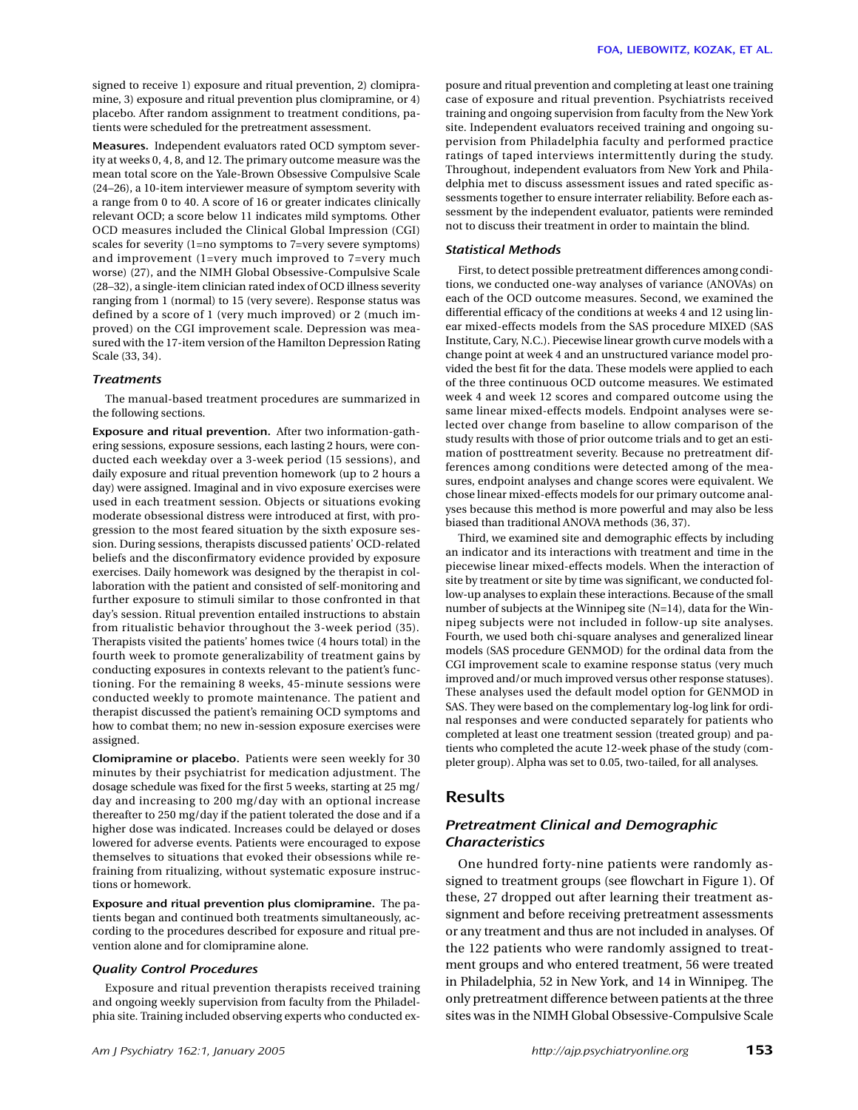signed to receive 1) exposure and ritual prevention, 2) clomipramine, 3) exposure and ritual prevention plus clomipramine, or 4) placebo. After random assignment to treatment conditions, patients were scheduled for the pretreatment assessment.

**Measures.** Independent evaluators rated OCD symptom severity at weeks 0, 4, 8, and 12. The primary outcome measure was the mean total score on the Yale-Brown Obsessive Compulsive Scale (24–26), a 10-item interviewer measure of symptom severity with a range from 0 to 40. A score of 16 or greater indicates clinically relevant OCD; a score below 11 indicates mild symptoms. Other OCD measures included the Clinical Global Impression (CGI) scales for severity (1=no symptoms to 7=very severe symptoms) and improvement (1=very much improved to 7=very much worse) (27), and the NIMH Global Obsessive-Compulsive Scale (28–32), a single-item clinician rated index of OCD illness severity ranging from 1 (normal) to 15 (very severe). Response status was defined by a score of 1 (very much improved) or 2 (much improved) on the CGI improvement scale. Depression was measured with the 17-item version of the Hamilton Depression Rating Scale (33, 34).

#### *Treatments*

The manual-based treatment procedures are summarized in the following sections.

**Exposure and ritual prevention.** After two information-gathering sessions, exposure sessions, each lasting 2 hours, were conducted each weekday over a 3-week period (15 sessions), and daily exposure and ritual prevention homework (up to 2 hours a day) were assigned. Imaginal and in vivo exposure exercises were used in each treatment session. Objects or situations evoking moderate obsessional distress were introduced at first, with progression to the most feared situation by the sixth exposure session. During sessions, therapists discussed patients' OCD-related beliefs and the disconfirmatory evidence provided by exposure exercises. Daily homework was designed by the therapist in collaboration with the patient and consisted of self-monitoring and further exposure to stimuli similar to those confronted in that day's session. Ritual prevention entailed instructions to abstain from ritualistic behavior throughout the 3-week period (35). Therapists visited the patients' homes twice (4 hours total) in the fourth week to promote generalizability of treatment gains by conducting exposures in contexts relevant to the patient's functioning. For the remaining 8 weeks, 45-minute sessions were conducted weekly to promote maintenance. The patient and therapist discussed the patient's remaining OCD symptoms and how to combat them; no new in-session exposure exercises were assigned.

**Clomipramine or placebo.** Patients were seen weekly for 30 minutes by their psychiatrist for medication adjustment. The dosage schedule was fixed for the first 5 weeks, starting at 25 mg/ day and increasing to 200 mg/day with an optional increase thereafter to 250 mg/day if the patient tolerated the dose and if a higher dose was indicated. Increases could be delayed or doses lowered for adverse events. Patients were encouraged to expose themselves to situations that evoked their obsessions while refraining from ritualizing, without systematic exposure instructions or homework.

**Exposure and ritual prevention plus clomipramine.** The patients began and continued both treatments simultaneously, according to the procedures described for exposure and ritual prevention alone and for clomipramine alone.

#### *Quality Control Procedures*

Exposure and ritual prevention therapists received training and ongoing weekly supervision from faculty from the Philadelphia site. Training included observing experts who conducted exposure and ritual prevention and completing at least one training case of exposure and ritual prevention. Psychiatrists received training and ongoing supervision from faculty from the New York site. Independent evaluators received training and ongoing supervision from Philadelphia faculty and performed practice ratings of taped interviews intermittently during the study. Throughout, independent evaluators from New York and Philadelphia met to discuss assessment issues and rated specific assessments together to ensure interrater reliability. Before each assessment by the independent evaluator, patients were reminded not to discuss their treatment in order to maintain the blind.

#### *Statistical Methods*

First, to detect possible pretreatment differences among conditions, we conducted one-way analyses of variance (ANOVAs) on each of the OCD outcome measures. Second, we examined the differential efficacy of the conditions at weeks 4 and 12 using linear mixed-effects models from the SAS procedure MIXED (SAS Institute, Cary, N.C.). Piecewise linear growth curve models with a change point at week 4 and an unstructured variance model provided the best fit for the data. These models were applied to each of the three continuous OCD outcome measures. We estimated week 4 and week 12 scores and compared outcome using the same linear mixed-effects models. Endpoint analyses were selected over change from baseline to allow comparison of the study results with those of prior outcome trials and to get an estimation of posttreatment severity. Because no pretreatment differences among conditions were detected among of the measures, endpoint analyses and change scores were equivalent. We chose linear mixed-effects models for our primary outcome analyses because this method is more powerful and may also be less biased than traditional ANOVA methods (36, 37).

Third, we examined site and demographic effects by including an indicator and its interactions with treatment and time in the piecewise linear mixed-effects models. When the interaction of site by treatment or site by time was significant, we conducted follow-up analyses to explain these interactions. Because of the small number of subjects at the Winnipeg site (N=14), data for the Winnipeg subjects were not included in follow-up site analyses. Fourth, we used both chi-square analyses and generalized linear models (SAS procedure GENMOD) for the ordinal data from the CGI improvement scale to examine response status (very much improved and/or much improved versus other response statuses). These analyses used the default model option for GENMOD in SAS. They were based on the complementary log-log link for ordinal responses and were conducted separately for patients who completed at least one treatment session (treated group) and patients who completed the acute 12-week phase of the study (completer group). Alpha was set to 0.05, two-tailed, for all analyses.

# **Results**

# *Pretreatment Clinical and Demographic Characteristics*

One hundred forty-nine patients were randomly assigned to treatment groups (see flowchart in Figure 1). Of these, 27 dropped out after learning their treatment assignment and before receiving pretreatment assessments or any treatment and thus are not included in analyses. Of the 122 patients who were randomly assigned to treatment groups and who entered treatment, 56 were treated in Philadelphia, 52 in New York, and 14 in Winnipeg. The only pretreatment difference between patients at the three sites was in the NIMH Global Obsessive-Compulsive Scale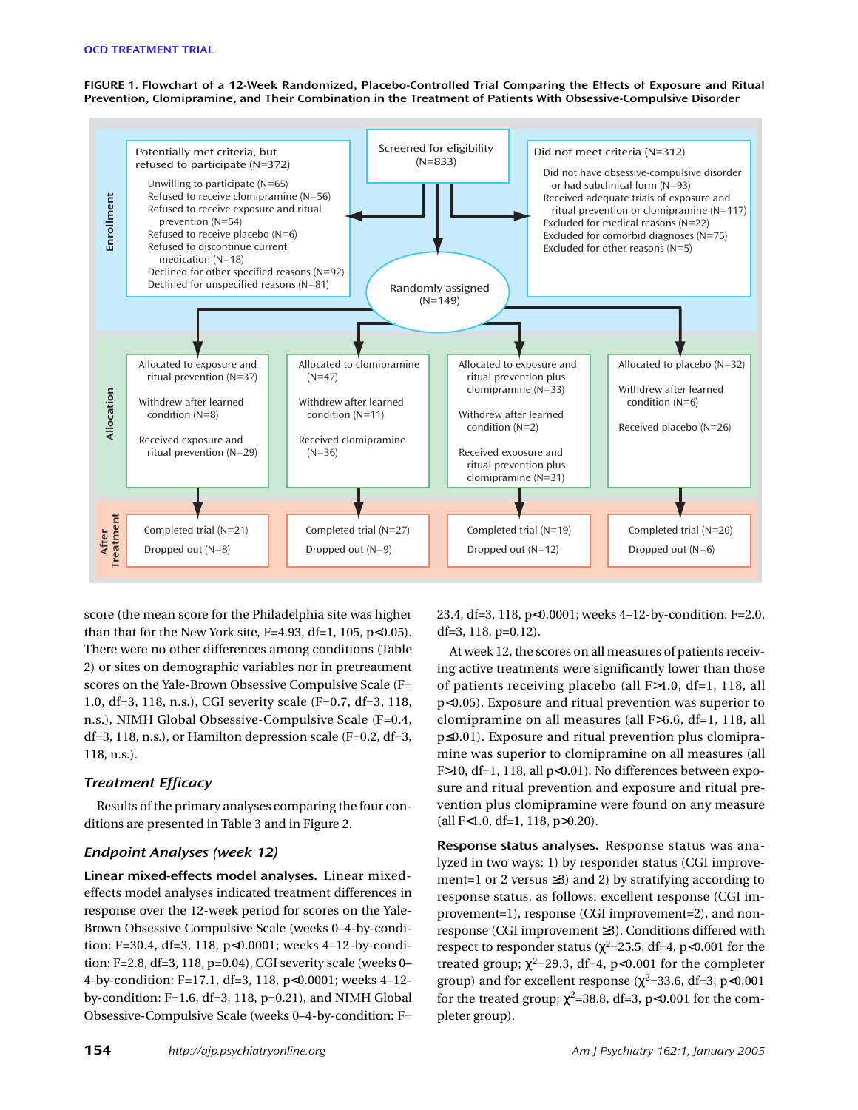**FIGURE 1. Flowchart of a 12-Week Randomized, Placebo-Controlled Trial Comparing the Effects of Exposure and Ritual Prevention, Clomipramine, and Their Combination in the Treatment of Patients With Obsessive-Compulsive Disorder**



score (the mean score for the Philadelphia site was higher than that for the New York site,  $F=4.93$ ,  $df=1$ , 105,  $p<0.05$ ). There were no other differences among conditions (Table 2) or sites on demographic variables nor in pretreatment scores on the Yale-Brown Obsessive Compulsive Scale (F= 1.0, df=3, 118, n.s.), CGI severity scale (F=0.7, df=3, 118, n.s.), NIMH Global Obsessive-Compulsive Scale (F=0.4, df=3, 118, n.s.), or Hamilton depression scale (F=0.2, df=3, 118, n.s.).

# *Treatment Efficacy*

Results of the primary analyses comparing the four conditions are presented in Table 3 and in Figure 2.

# *Endpoint Analyses (week 12)*

**Linear mixed-effects model analyses.** Linear mixedeffects model analyses indicated treatment differences in response over the 12-week period for scores on the Yale-Brown Obsessive Compulsive Scale (weeks 0–4-by-condition: F=30.4, df=3, 118, p<0.0001; weeks 4–12-by-condition: F=2.8, df=3, 118, p=0.04), CGI severity scale (weeks 0– 4-by-condition: F=17.1, df=3, 118, p<0.0001; weeks 4–12 by-condition: F=1.6, df=3, 118, p=0.21), and NIMH Global Obsessive-Compulsive Scale (weeks 0–4-by-condition: F=

23.4, df=3, 118, p<0.0001; weeks 4–12-by-condition: F=2.0, df=3, 118, p=0.12).

At week 12, the scores on all measures of patients receiving active treatments were significantly lower than those of patients receiving placebo (all F>4.0, df=1, 118, all p<0.05). Exposure and ritual prevention was superior to clomipramine on all measures (all F>6.6, df=1, 118, all p≤0.01). Exposure and ritual prevention plus clomipramine was superior to clomipramine on all measures (all F>10, df=1, 118, all p<0.01). No differences between exposure and ritual prevention and exposure and ritual prevention plus clomipramine were found on any measure  $\text{(all F<1.0, df=1, 118, p>0.20)}.$ 

**Response status analyses.** Response status was analyzed in two ways: 1) by responder status (CGI improvement=1 or 2 versus ≥3) and 2) by stratifying according to response status, as follows: excellent response (CGI improvement=1), response (CGI improvement=2), and nonresponse (CGI improvement ≥3). Conditions differed with respect to responder status ( $\chi^2$ =25.5, df=4, p<0.001 for the treated group;  $\chi^2$ =29.3, df=4, p<0.001 for the completer group) and for excellent response ( $\chi^2$ =33.6, df=3, p<0.001 for the treated group;  $\chi^2$ =38.8, df=3, p<0.001 for the completer group).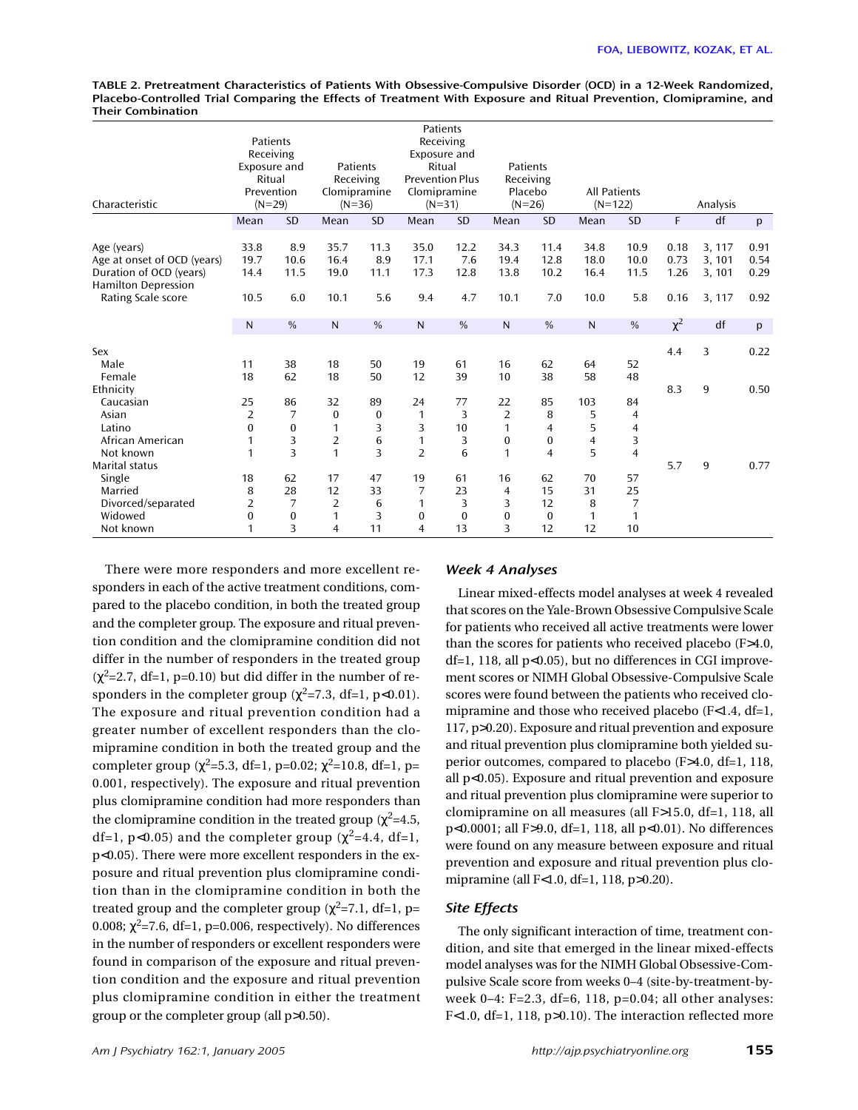**TABLE 2. Pretreatment Characteristics of Patients With Obsessive-Compulsive Disorder (OCD) in a 12-Week Randomized, Placebo-Controlled Trial Comparing the Effects of Treatment With Exposure and Ritual Prevention, Clomipramine, and Their Combination**

| Characteristic                                                                                      | Patients<br>Receiving<br>Exposure and<br>Ritual<br>Prevention<br>$(N=29)$ |                     | Patients<br>Receiving<br>Clomipramine<br>$(N=36)$ |                     | Patients<br>Receiving<br>Exposure and<br>Ritual<br><b>Prevention Plus</b><br>Clomipramine<br>$(N=31)$ |                     | Patients<br>Receiving<br>Placebo<br>$(N=26)$ |                                    | <b>All Patients</b><br>$(N=122)$ |                      |                      | Analysis                   |                      |
|-----------------------------------------------------------------------------------------------------|---------------------------------------------------------------------------|---------------------|---------------------------------------------------|---------------------|-------------------------------------------------------------------------------------------------------|---------------------|----------------------------------------------|------------------------------------|----------------------------------|----------------------|----------------------|----------------------------|----------------------|
|                                                                                                     | Mean                                                                      | <b>SD</b>           | Mean                                              | <b>SD</b>           | Mean                                                                                                  | <b>SD</b>           | Mean                                         | <b>SD</b>                          | Mean                             | <b>SD</b>            | F                    | df                         | p                    |
| Age (years)<br>Age at onset of OCD (years)<br>Duration of OCD (years)<br><b>Hamilton Depression</b> | 33.8<br>19.7<br>14.4                                                      | 8.9<br>10.6<br>11.5 | 35.7<br>16.4<br>19.0                              | 11.3<br>8.9<br>11.1 | 35.0<br>17.1<br>17.3                                                                                  | 12.2<br>7.6<br>12.8 | 34.3<br>19.4<br>13.8                         | 11.4<br>12.8<br>10.2               | 34.8<br>18.0<br>16.4             | 10.9<br>10.0<br>11.5 | 0.18<br>0.73<br>1.26 | 3, 117<br>3, 101<br>3, 101 | 0.91<br>0.54<br>0.29 |
| Rating Scale score                                                                                  | 10.5                                                                      | 6.0                 | 10.1                                              | 5.6                 | 9.4                                                                                                   | 4.7                 | 10.1                                         | 7.0                                | 10.0                             | 5.8                  | 0.16                 | 3, 117                     | 0.92                 |
|                                                                                                     | ${\sf N}$                                                                 | %                   | $\mathsf{N}$                                      | $\%$                | $\mathsf{N}$                                                                                          | $\%$                | N                                            | $\%$                               | $\mathsf{N}$                     | $\%$                 | $\chi^2$             | df                         | p                    |
| Sex<br>Male<br>Female                                                                               | 11<br>18                                                                  | 38<br>62            | 18<br>18                                          | 50<br>50            | 19<br>12                                                                                              | 61<br>39            | 16<br>10                                     | 62<br>38                           | 64<br>58                         | 52<br>48             | 4.4                  | 3                          | 0.22                 |
| Ethnicity                                                                                           |                                                                           |                     |                                                   |                     |                                                                                                       |                     |                                              |                                    |                                  |                      | 8.3                  | 9                          | 0.50                 |
| Caucasian                                                                                           | 25                                                                        | 86                  | 32                                                | 89                  | 24                                                                                                    | 77                  | 22                                           | 85                                 | 103                              | 84                   |                      |                            |                      |
| Asian                                                                                               | $\overline{2}$                                                            | 7                   | $\bf{0}$                                          | $\boldsymbol{0}$    | 1                                                                                                     | 3                   | $\overline{2}$                               | 8                                  | 5                                | 4                    |                      |                            |                      |
| Latino<br>African American                                                                          | 0<br>1                                                                    | 0<br>3              | 1<br>$\overline{2}$                               | 3<br>6              | 3<br>1                                                                                                | 10<br>3             | 1<br>$\boldsymbol{0}$                        | $\overline{4}$<br>$\boldsymbol{0}$ | 5<br>$\overline{4}$              | 4<br>3               |                      |                            |                      |
| Not known                                                                                           | 1                                                                         | 3                   | $\mathbf{1}$                                      | 3                   | $\overline{2}$                                                                                        | 6                   | 1                                            | $\overline{4}$                     | 5                                | $\overline{4}$       |                      |                            |                      |
| Marital status                                                                                      |                                                                           |                     |                                                   |                     |                                                                                                       |                     |                                              |                                    |                                  |                      | 5.7                  | 9                          | 0.77                 |
| Single                                                                                              | 18                                                                        | 62                  | 17                                                | 47                  | 19                                                                                                    | 61                  | 16                                           | 62                                 | 70                               | 57                   |                      |                            |                      |
| Married                                                                                             | 8                                                                         | 28                  | 12                                                | 33                  | 7                                                                                                     | 23                  | $\overline{4}$                               | 15                                 | 31                               | 25                   |                      |                            |                      |
| Divorced/separated                                                                                  | $\overline{2}$                                                            | 7                   | $\overline{2}$                                    | 6                   | 1                                                                                                     | 3                   | 3                                            | 12                                 | 8                                | 7                    |                      |                            |                      |
| Widowed<br>Not known                                                                                | 0<br>1                                                                    | $\bf{0}$<br>3       | $\mathbf{1}$<br>$\overline{4}$                    | 3<br>11             | $\boldsymbol{0}$<br>4                                                                                 | $\mathbf{0}$<br>13  | $\mathbf{0}$<br>3                            | 0<br>12                            | 1<br>12                          | 1<br>10              |                      |                            |                      |

There were more responders and more excellent responders in each of the active treatment conditions, compared to the placebo condition, in both the treated group and the completer group. The exposure and ritual prevention condition and the clomipramine condition did not differ in the number of responders in the treated group  $(\chi^2=2.7, df=1, p=0.10)$  but did differ in the number of responders in the completer group ( $\chi^2$ =7.3, df=1, p<0.01). The exposure and ritual prevention condition had a greater number of excellent responders than the clomipramine condition in both the treated group and the completer group ( $\chi^2$ =5.3, df=1, p=0.02;  $\chi^2$ =10.8, df=1, p= 0.001, respectively). The exposure and ritual prevention plus clomipramine condition had more responders than the clomipramine condition in the treated group ( $\chi^2$ =4.5, df=1, p<0.05) and the completer group ( $\chi^2$ =4.4, df=1, p<0.05). There were more excellent responders in the exposure and ritual prevention plus clomipramine condition than in the clomipramine condition in both the treated group and the completer group ( $\chi^2$ =7.1, df=1, p= 0.008;  $\chi^2$ =7.6, df=1, p=0.006, respectively). No differences in the number of responders or excellent responders were found in comparison of the exposure and ritual prevention condition and the exposure and ritual prevention plus clomipramine condition in either the treatment group or the completer group (all p>0.50).

## *Week 4 Analyses*

Linear mixed-effects model analyses at week 4 revealed that scores on the Yale-Brown Obsessive Compulsive Scale for patients who received all active treatments were lower than the scores for patients who received placebo (F>4.0, df=1, 118, all p<0.05), but no differences in CGI improvement scores or NIMH Global Obsessive-Compulsive Scale scores were found between the patients who received clomipramine and those who received placebo (F<1.4, df=1, 117, p>0.20). Exposure and ritual prevention and exposure and ritual prevention plus clomipramine both yielded superior outcomes, compared to placebo (F>4.0, df=1, 118, all p<0.05). Exposure and ritual prevention and exposure and ritual prevention plus clomipramine were superior to clomipramine on all measures (all F>15.0, df=1, 118, all p<0.0001; all F>9.0, df=1, 118, all p<0.01). No differences were found on any measure between exposure and ritual prevention and exposure and ritual prevention plus clomipramine (all F<1.0, df=1, 118, p>0.20).

# *Site Effects*

The only significant interaction of time, treatment condition, and site that emerged in the linear mixed-effects model analyses was for the NIMH Global Obsessive-Compulsive Scale score from weeks 0–4 (site-by-treatment-byweek 0–4: F=2.3, df=6, 118, p=0.04; all other analyses: F<1.0, df=1, 118, p>0.10). The interaction reflected more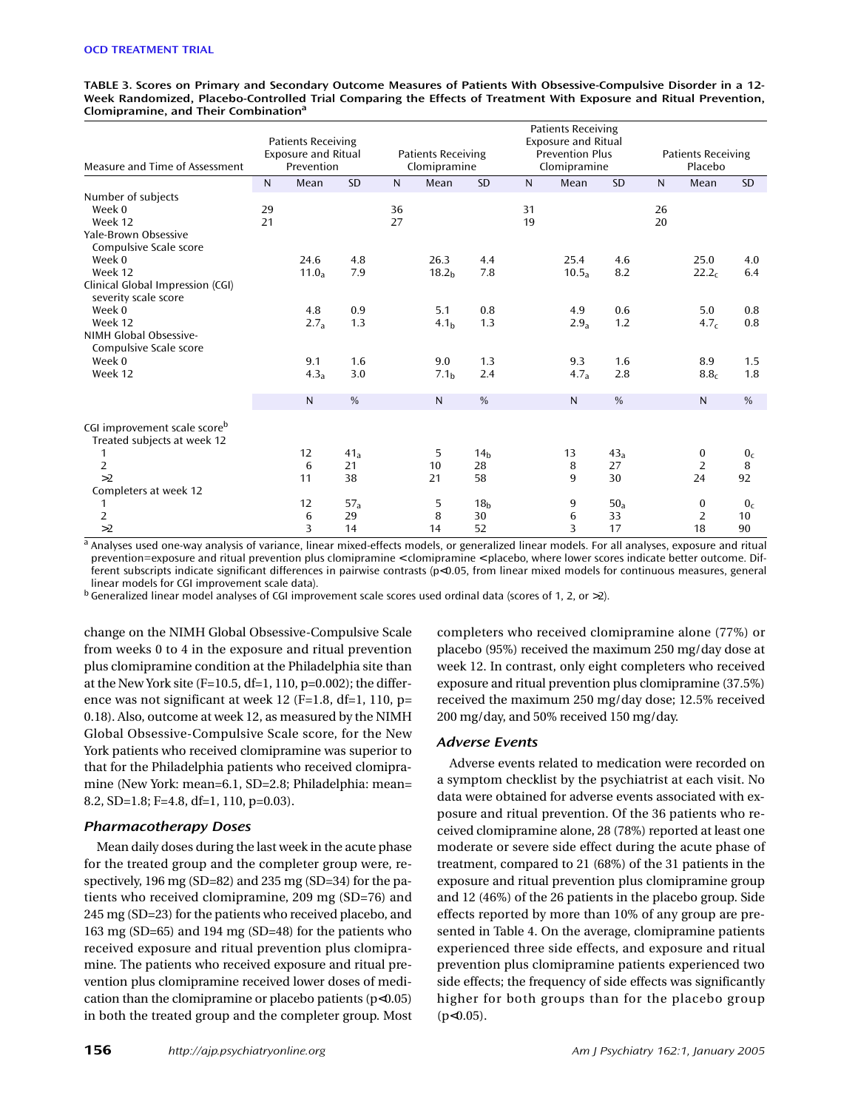**TABLE 3. Scores on Primary and Secondary Outcome Measures of Patients With Obsessive-Compulsive Disorder in a 12- Week Randomized, Placebo-Controlled Trial Comparing the Effects of Treatment With Exposure and Ritual Prevention, Clomipramine, and Their Combinationa**

| Measure and Time of Assessment                                     | <b>Patients Receiving</b><br><b>Exposure and Ritual</b><br>Prevention |                         | <b>Patients Receiving</b><br>Clomipramine |          |                           | <b>Patients Receiving</b><br><b>Exposure and Ritual</b><br><b>Prevention Plus</b><br>Clomipramine |              |                           | <b>Patients Receiving</b><br>Placebo |          |                                  |                            |
|--------------------------------------------------------------------|-----------------------------------------------------------------------|-------------------------|-------------------------------------------|----------|---------------------------|---------------------------------------------------------------------------------------------------|--------------|---------------------------|--------------------------------------|----------|----------------------------------|----------------------------|
|                                                                    | $\mathsf{N}$                                                          | Mean                    | <b>SD</b>                                 | N        | Mean                      | <b>SD</b>                                                                                         | $\mathsf{N}$ | Mean                      | <b>SD</b>                            | N.       | Mean                             | <b>SD</b>                  |
| Number of subjects<br>Week 0<br>Week 12<br>Yale-Brown Obsessive    | 29<br>21                                                              |                         |                                           | 36<br>27 |                           |                                                                                                   | 31<br>19     |                           |                                      | 26<br>20 |                                  |                            |
| Compulsive Scale score<br>Week 0<br>Week 12                        |                                                                       | 24.6<br>$11.0_a$        | 4.8<br>7.9                                |          | 26.3<br>18.2 <sub>h</sub> | 4.4<br>7.8                                                                                        |              | 25.4<br>10.5 <sub>a</sub> | 4.6<br>8.2                           |          | 25.0<br>22.2 <sub>c</sub>        | 4.0<br>6.4                 |
| Clinical Global Impression (CGI)<br>severity scale score<br>Week 0 |                                                                       | 4.8                     | 0.9                                       |          | 5.1                       | 0.8                                                                                               |              | 4.9                       | 0.6                                  |          | 5.0                              | 0.8                        |
| Week 12<br>NIMH Global Obsessive-<br>Compulsive Scale score        |                                                                       | 2.7 <sub>a</sub>        | 1.3                                       |          | 4.1 <sub>b</sub>          | 1.3                                                                                               |              | 2.9 <sub>a</sub>          | 1.2                                  |          | 4.7 <sub>c</sub>                 | 0.8                        |
| Week 0<br>Week 12                                                  |                                                                       | 9.1<br>4.3 <sub>a</sub> | 1.6<br>3.0                                |          | 9.0<br>7.1 <sub>b</sub>   | 1.3<br>2.4                                                                                        |              | 9.3<br>4.7 <sub>a</sub>   | 1.6<br>2.8                           |          | 8.9<br>8.8 <sub>c</sub>          | 1.5<br>1.8                 |
|                                                                    |                                                                       | N                       | $\frac{0}{0}$                             |          | $\mathsf{N}$              | %                                                                                                 |              | N.                        | $\%$                                 |          | $\mathsf{N}$                     | $\%$                       |
| CGI improvement scale scoreb<br>Treated subjects at week 12        |                                                                       |                         |                                           |          |                           |                                                                                                   |              |                           |                                      |          |                                  |                            |
| 1<br>$\overline{2}$<br>>2                                          |                                                                       | 12<br>6<br>11           | 41 <sub>a</sub><br>21<br>38               |          | 5<br>10<br>21             | 14 <sub>h</sub><br>28<br>58                                                                       |              | 13<br>8<br>9              | 43 <sub>a</sub><br>27<br>30          |          | 0<br>$\overline{2}$<br>24        | 0 <sub>c</sub><br>8<br>92  |
| Completers at week 12                                              |                                                                       |                         |                                           |          |                           |                                                                                                   |              |                           |                                      |          |                                  |                            |
| 1<br>$\overline{2}$<br>>2                                          |                                                                       | 12<br>6<br>3            | 57a<br>29<br>14                           |          | 5<br>8<br>14              | 18 <sub>b</sub><br>30<br>52                                                                       |              | 9<br>6<br>3               | $50_a$<br>33<br>17                   |          | $\bf{0}$<br>$\overline{2}$<br>18 | 0 <sub>c</sub><br>10<br>90 |

a Analyses used one-way analysis of variance, linear mixed-effects models, or generalized linear models. For all analyses, exposure and ritual prevention=exposure and ritual prevention plus clomipramine < clomipramine < placebo, where lower scores indicate better outcome. Different subscripts indicate significant differences in pairwise contrasts (p<0.05, from linear mixed models for continuous measures, general linear models for CGI improvement scale data).

 $b$  Generalized linear model analyses of CGI improvement scale scores used ordinal data (scores of 1, 2, or  $>2$ ).

change on the NIMH Global Obsessive-Compulsive Scale from weeks 0 to 4 in the exposure and ritual prevention plus clomipramine condition at the Philadelphia site than at the New York site (F=10.5, df=1, 110, p=0.002); the difference was not significant at week 12 (F=1.8, df=1, 110, p= 0.18). Also, outcome at week 12, as measured by the NIMH Global Obsessive-Compulsive Scale score, for the New York patients who received clomipramine was superior to that for the Philadelphia patients who received clomipramine (New York: mean=6.1, SD=2.8; Philadelphia: mean= 8.2, SD=1.8; F=4.8, df=1, 110, p=0.03).

#### *Pharmacotherapy Doses*

Mean daily doses during the last week in the acute phase for the treated group and the completer group were, respectively, 196 mg (SD=82) and 235 mg (SD=34) for the patients who received clomipramine, 209 mg (SD=76) and 245 mg (SD=23) for the patients who received placebo, and 163 mg (SD=65) and 194 mg (SD=48) for the patients who received exposure and ritual prevention plus clomipramine. The patients who received exposure and ritual prevention plus clomipramine received lower doses of medication than the clomipramine or placebo patients  $(p<0.05)$ in both the treated group and the completer group. Most completers who received clomipramine alone (77%) or placebo (95%) received the maximum 250 mg/day dose at week 12. In contrast, only eight completers who received exposure and ritual prevention plus clomipramine (37.5%) received the maximum 250 mg/day dose; 12.5% received 200 mg/day, and 50% received 150 mg/day.

#### *Adverse Events*

Adverse events related to medication were recorded on a symptom checklist by the psychiatrist at each visit. No data were obtained for adverse events associated with exposure and ritual prevention. Of the 36 patients who received clomipramine alone, 28 (78%) reported at least one moderate or severe side effect during the acute phase of treatment, compared to 21 (68%) of the 31 patients in the exposure and ritual prevention plus clomipramine group and 12 (46%) of the 26 patients in the placebo group. Side effects reported by more than 10% of any group are presented in Table 4. On the average, clomipramine patients experienced three side effects, and exposure and ritual prevention plus clomipramine patients experienced two side effects; the frequency of side effects was significantly higher for both groups than for the placebo group  $(p<0.05)$ .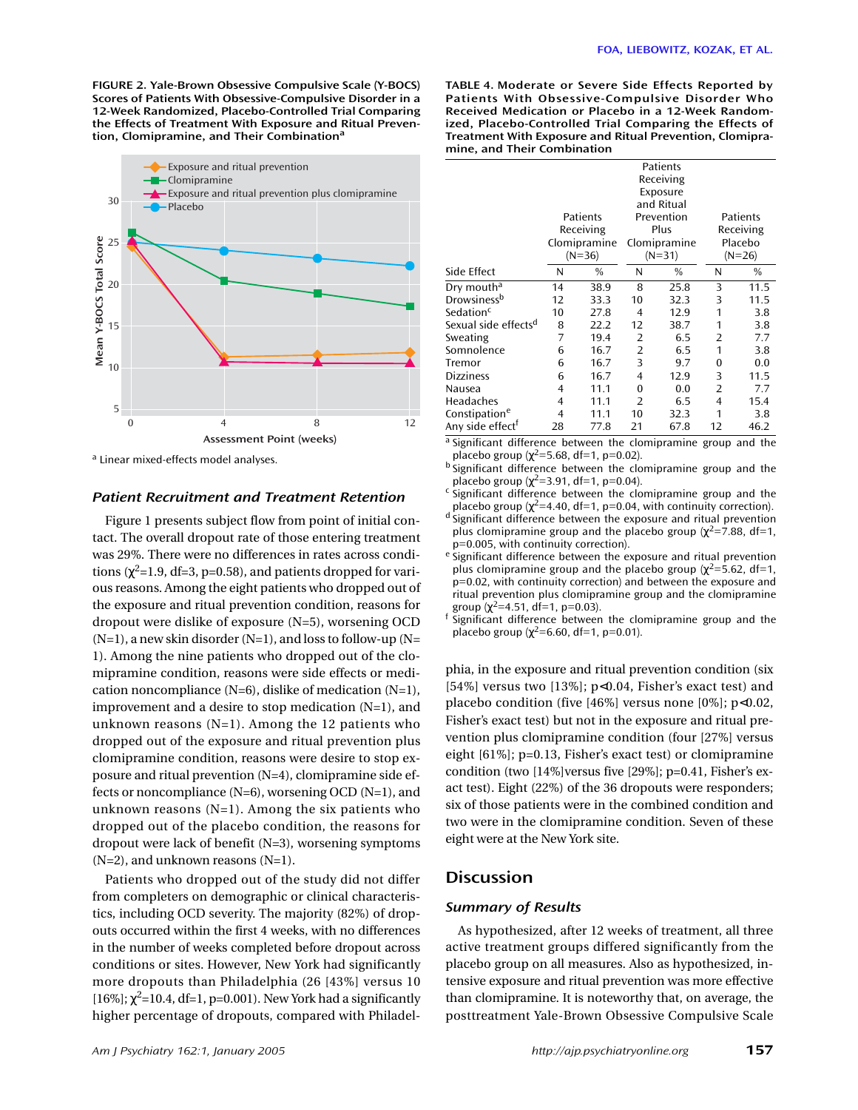**FIGURE 2. Yale-Brown Obsessive Compulsive Scale (Y-BOCS) Scores of Patients With Obsessive-Compulsive Disorder in a 12-Week Randomized, Placebo-Controlled Trial Comparing the Effects of Treatment With Exposure and Ritual Prevention, Clomipramine, and Their Combination<sup>a</sup>**



<sup>a</sup> Linear mixed-effects model analyses.

## *Patient Recruitment and Treatment Retention*

Figure 1 presents subject flow from point of initial contact. The overall dropout rate of those entering treatment was 29%. There were no differences in rates across conditions ( $\chi^2$ =1.9, df=3, p=0.58), and patients dropped for various reasons. Among the eight patients who dropped out of the exposure and ritual prevention condition, reasons for dropout were dislike of exposure (N=5), worsening OCD  $(N=1)$ , a new skin disorder  $(N=1)$ , and loss to follow-up  $(N=1)$ 1). Among the nine patients who dropped out of the clomipramine condition, reasons were side effects or medication noncompliance (N=6), dislike of medication (N=1), improvement and a desire to stop medication (N=1), and unknown reasons (N=1). Among the 12 patients who dropped out of the exposure and ritual prevention plus clomipramine condition, reasons were desire to stop exposure and ritual prevention (N=4), clomipramine side effects or noncompliance (N=6), worsening OCD (N=1), and unknown reasons  $(N=1)$ . Among the six patients who dropped out of the placebo condition, the reasons for dropout were lack of benefit (N=3), worsening symptoms  $(N=2)$ , and unknown reasons  $(N=1)$ .

Patients who dropped out of the study did not differ from completers on demographic or clinical characteristics, including OCD severity. The majority (82%) of dropouts occurred within the first 4 weeks, with no differences in the number of weeks completed before dropout across conditions or sites. However, New York had significantly more dropouts than Philadelphia (26 [43%] versus 10 [ $16\%$ ];  $\chi^2$ =10.4, df=1, p=0.001). New York had a significantly higher percentage of dropouts, compared with Philadel**TABLE 4. Moderate or Severe Side Effects Reported by Patients With Obsessive-Compulsive Disorder Who Received Medication or Placebo in a 12-Week Randomized, Placebo-Controlled Trial Comparing the Effects of Treatment With Exposure and Ritual Prevention, Clomipramine, and Their Combination**

|                                  |    | Patients<br>Receiving<br>Exposure<br>and Ritual<br>Patients<br>Prevention<br>Plus<br>Receiving<br>Clomipramine<br>Clomipramine<br>$(N=36)$<br>$(N=31)$ |    |      |    | Patients<br>Receiving<br>Placebo<br>$(N=26)$ |  |  |  |
|----------------------------------|----|--------------------------------------------------------------------------------------------------------------------------------------------------------|----|------|----|----------------------------------------------|--|--|--|
| Side Effect                      | N  | %                                                                                                                                                      | N  | %    | N  | %                                            |  |  |  |
| Dry mouth <sup>a</sup>           | 14 | 38.9                                                                                                                                                   | 8  | 25.8 | 3  | 11.5                                         |  |  |  |
| Drowsiness <sup>b</sup>          | 12 | 33.3                                                                                                                                                   | 10 | 32.3 | 3  | 11.5                                         |  |  |  |
| Sedation <sup>c</sup>            | 10 | 27.8                                                                                                                                                   | 4  | 12.9 | 1  | 3.8                                          |  |  |  |
| Sexual side effects <sup>d</sup> | 8  | 22.2                                                                                                                                                   | 12 | 38.7 | 1  | 3.8                                          |  |  |  |
| Sweating                         | 7  | 19.4                                                                                                                                                   | 2  | 6.5  | 2  | 7.7                                          |  |  |  |
| Somnolence                       | 6  | 16.7                                                                                                                                                   | 2  | 6.5  | 1  | 3.8                                          |  |  |  |
| Tremor                           | 6  | 16.7                                                                                                                                                   | 3  | 9.7  | 0  | 0.0                                          |  |  |  |
| <b>Dizziness</b>                 | 6  | 16.7                                                                                                                                                   | 4  | 12.9 | 3  | 11.5                                         |  |  |  |
| Nausea                           | 4  | 11.1                                                                                                                                                   | 0  | 0.0  | 2  | 7.7                                          |  |  |  |
| Headaches                        | 4  | 11.1                                                                                                                                                   | 2  | 6.5  | 4  | 15.4                                         |  |  |  |
| Constipation <sup>e</sup>        | 4  | 11.1                                                                                                                                                   | 10 | 32.3 | 1  | 3.8                                          |  |  |  |
| Any side effect <sup>†</sup>     | 28 | 77.8                                                                                                                                                   | 21 | 67.8 | 12 | 46.2                                         |  |  |  |

<sup>a</sup> Significant difference between the clomipramine group and the placebo group  $(x^2=5.68, df=1, p=0.02)$ .

<sup>b</sup> Significant difference between the clomipramine group and the placebo group ( $\chi^2$ =3.91, df=1, p=0.04).

<sup>c</sup> significant difference between the clomipramine group and the placebo group ( $\chi^2$ =4.40, df=1, p=0.04, with continuity correction).

d Significant difference between the exposure and ritual prevention plus clomipramine group and the placebo group ( $\chi^2$ =7.88, df=1, p=0.005, with continuity correction).

<sup>e</sup> Significant difference between the exposure and ritual prevention plus clomipramine group and the placebo group ( $\chi^2$ =5.62, df=1, p=0.02, with continuity correction) and between the exposure and ritual prevention plus clomipramine group and the clomipramine group  $(\chi^2=4.51, df=1, p=0.03)$ .

 $\frac{1}{2}$  significant difference between the clomipramine group and the placebo group ( $χ²=6.60$ , df=1, p=0.01).

phia, in the exposure and ritual prevention condition (six [54%] versus two [13%]; p<0.04, Fisher's exact test) and placebo condition (five [46%] versus none [0%]; p<0.02, Fisher's exact test) but not in the exposure and ritual prevention plus clomipramine condition (four [27%] versus eight [61%]; p=0.13, Fisher's exact test) or clomipramine condition (two [14%]versus five [29%]; p=0.41, Fisher's exact test). Eight (22%) of the 36 dropouts were responders; six of those patients were in the combined condition and two were in the clomipramine condition. Seven of these eight were at the New York site.

# **Discussion**

# *Summary of Results*

As hypothesized, after 12 weeks of treatment, all three active treatment groups differed significantly from the placebo group on all measures. Also as hypothesized, intensive exposure and ritual prevention was more effective than clomipramine. It is noteworthy that, on average, the posttreatment Yale-Brown Obsessive Compulsive Scale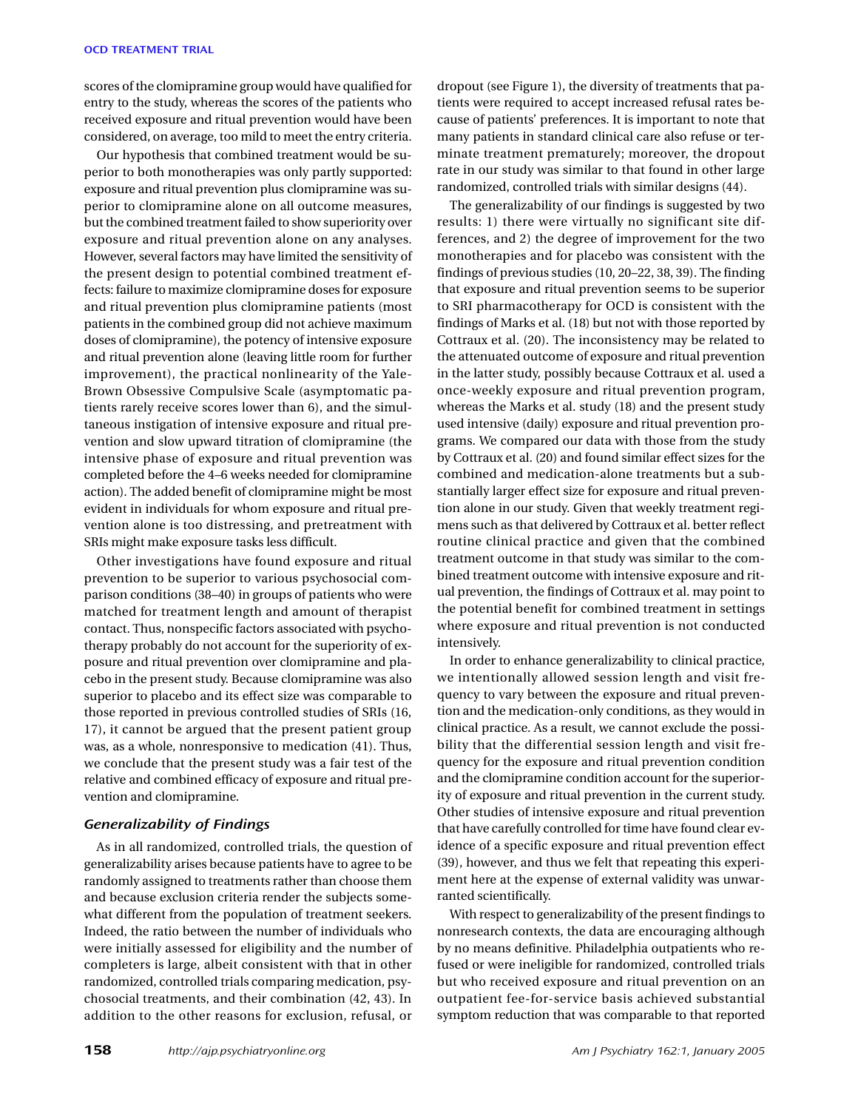scores of the clomipramine group would have qualified for entry to the study, whereas the scores of the patients who received exposure and ritual prevention would have been considered, on average, too mild to meet the entry criteria.

Our hypothesis that combined treatment would be superior to both monotherapies was only partly supported: exposure and ritual prevention plus clomipramine was superior to clomipramine alone on all outcome measures, but the combined treatment failed to show superiority over exposure and ritual prevention alone on any analyses. However, several factors may have limited the sensitivity of the present design to potential combined treatment effects: failure to maximize clomipramine doses for exposure and ritual prevention plus clomipramine patients (most patients in the combined group did not achieve maximum doses of clomipramine), the potency of intensive exposure and ritual prevention alone (leaving little room for further improvement), the practical nonlinearity of the Yale-Brown Obsessive Compulsive Scale (asymptomatic patients rarely receive scores lower than 6), and the simultaneous instigation of intensive exposure and ritual prevention and slow upward titration of clomipramine (the intensive phase of exposure and ritual prevention was completed before the 4–6 weeks needed for clomipramine action). The added benefit of clomipramine might be most evident in individuals for whom exposure and ritual prevention alone is too distressing, and pretreatment with SRIs might make exposure tasks less difficult.

Other investigations have found exposure and ritual prevention to be superior to various psychosocial comparison conditions (38–40) in groups of patients who were matched for treatment length and amount of therapist contact. Thus, nonspecific factors associated with psychotherapy probably do not account for the superiority of exposure and ritual prevention over clomipramine and placebo in the present study. Because clomipramine was also superior to placebo and its effect size was comparable to those reported in previous controlled studies of SRIs (16, 17), it cannot be argued that the present patient group was, as a whole, nonresponsive to medication (41). Thus, we conclude that the present study was a fair test of the relative and combined efficacy of exposure and ritual prevention and clomipramine.

# *Generalizability of Findings*

As in all randomized, controlled trials, the question of generalizability arises because patients have to agree to be randomly assigned to treatments rather than choose them and because exclusion criteria render the subjects somewhat different from the population of treatment seekers. Indeed, the ratio between the number of individuals who were initially assessed for eligibility and the number of completers is large, albeit consistent with that in other randomized, controlled trials comparing medication, psychosocial treatments, and their combination (42, 43). In addition to the other reasons for exclusion, refusal, or

dropout (see Figure 1), the diversity of treatments that patients were required to accept increased refusal rates because of patients' preferences. It is important to note that many patients in standard clinical care also refuse or terminate treatment prematurely; moreover, the dropout rate in our study was similar to that found in other large randomized, controlled trials with similar designs (44).

The generalizability of our findings is suggested by two results: 1) there were virtually no significant site differences, and 2) the degree of improvement for the two monotherapies and for placebo was consistent with the findings of previous studies (10, 20–22, 38, 39). The finding that exposure and ritual prevention seems to be superior to SRI pharmacotherapy for OCD is consistent with the findings of Marks et al. (18) but not with those reported by Cottraux et al. (20). The inconsistency may be related to the attenuated outcome of exposure and ritual prevention in the latter study, possibly because Cottraux et al. used a once-weekly exposure and ritual prevention program, whereas the Marks et al. study (18) and the present study used intensive (daily) exposure and ritual prevention programs. We compared our data with those from the study by Cottraux et al. (20) and found similar effect sizes for the combined and medication-alone treatments but a substantially larger effect size for exposure and ritual prevention alone in our study. Given that weekly treatment regimens such as that delivered by Cottraux et al. better reflect routine clinical practice and given that the combined treatment outcome in that study was similar to the combined treatment outcome with intensive exposure and ritual prevention, the findings of Cottraux et al. may point to the potential benefit for combined treatment in settings where exposure and ritual prevention is not conducted intensively.

In order to enhance generalizability to clinical practice, we intentionally allowed session length and visit frequency to vary between the exposure and ritual prevention and the medication-only conditions, as they would in clinical practice. As a result, we cannot exclude the possibility that the differential session length and visit frequency for the exposure and ritual prevention condition and the clomipramine condition account for the superiority of exposure and ritual prevention in the current study. Other studies of intensive exposure and ritual prevention that have carefully controlled for time have found clear evidence of a specific exposure and ritual prevention effect (39), however, and thus we felt that repeating this experiment here at the expense of external validity was unwarranted scientifically.

With respect to generalizability of the present findings to nonresearch contexts, the data are encouraging although by no means definitive. Philadelphia outpatients who refused or were ineligible for randomized, controlled trials but who received exposure and ritual prevention on an outpatient fee-for-service basis achieved substantial symptom reduction that was comparable to that reported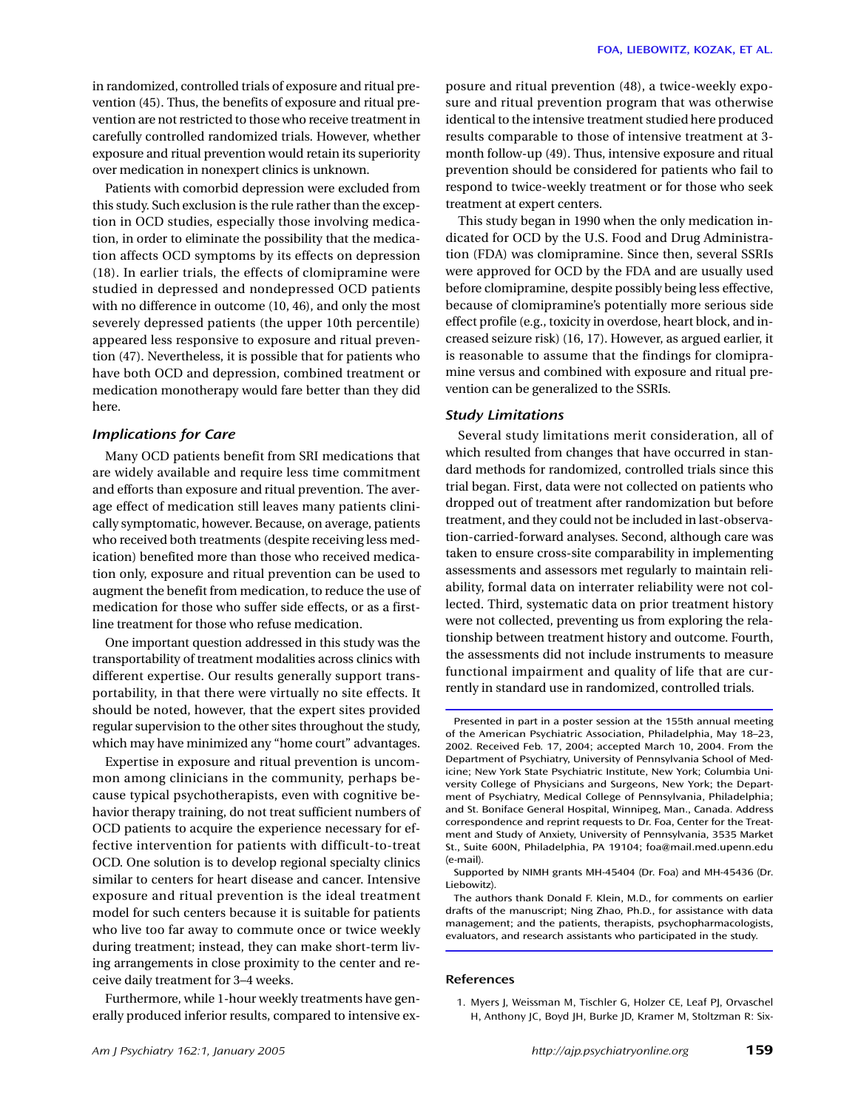in randomized, controlled trials of exposure and ritual prevention (45). Thus, the benefits of exposure and ritual prevention are not restricted to those who receive treatment in carefully controlled randomized trials. However, whether exposure and ritual prevention would retain its superiority over medication in nonexpert clinics is unknown.

Patients with comorbid depression were excluded from this study. Such exclusion is the rule rather than the exception in OCD studies, especially those involving medication, in order to eliminate the possibility that the medication affects OCD symptoms by its effects on depression (18). In earlier trials, the effects of clomipramine were studied in depressed and nondepressed OCD patients with no difference in outcome (10, 46), and only the most severely depressed patients (the upper 10th percentile) appeared less responsive to exposure and ritual prevention (47). Nevertheless, it is possible that for patients who have both OCD and depression, combined treatment or medication monotherapy would fare better than they did here.

## *Implications for Care*

Many OCD patients benefit from SRI medications that are widely available and require less time commitment and efforts than exposure and ritual prevention. The average effect of medication still leaves many patients clinically symptomatic, however. Because, on average, patients who received both treatments (despite receiving less medication) benefited more than those who received medication only, exposure and ritual prevention can be used to augment the benefit from medication, to reduce the use of medication for those who suffer side effects, or as a firstline treatment for those who refuse medication.

One important question addressed in this study was the transportability of treatment modalities across clinics with different expertise. Our results generally support transportability, in that there were virtually no site effects. It should be noted, however, that the expert sites provided regular supervision to the other sites throughout the study, which may have minimized any "home court" advantages.

Expertise in exposure and ritual prevention is uncommon among clinicians in the community, perhaps because typical psychotherapists, even with cognitive behavior therapy training, do not treat sufficient numbers of OCD patients to acquire the experience necessary for effective intervention for patients with difficult-to-treat OCD. One solution is to develop regional specialty clinics similar to centers for heart disease and cancer. Intensive exposure and ritual prevention is the ideal treatment model for such centers because it is suitable for patients who live too far away to commute once or twice weekly during treatment; instead, they can make short-term living arrangements in close proximity to the center and receive daily treatment for 3–4 weeks.

Furthermore, while 1-hour weekly treatments have generally produced inferior results, compared to intensive exposure and ritual prevention (48), a twice-weekly exposure and ritual prevention program that was otherwise identical to the intensive treatment studied here produced results comparable to those of intensive treatment at 3 month follow-up (49). Thus, intensive exposure and ritual prevention should be considered for patients who fail to respond to twice-weekly treatment or for those who seek treatment at expert centers.

This study began in 1990 when the only medication indicated for OCD by the U.S. Food and Drug Administration (FDA) was clomipramine. Since then, several SSRIs were approved for OCD by the FDA and are usually used before clomipramine, despite possibly being less effective, because of clomipramine's potentially more serious side effect profile (e.g., toxicity in overdose, heart block, and increased seizure risk) (16, 17). However, as argued earlier, it is reasonable to assume that the findings for clomipramine versus and combined with exposure and ritual prevention can be generalized to the SSRIs.

## *Study Limitations*

Several study limitations merit consideration, all of which resulted from changes that have occurred in standard methods for randomized, controlled trials since this trial began. First, data were not collected on patients who dropped out of treatment after randomization but before treatment, and they could not be included in last-observation-carried-forward analyses. Second, although care was taken to ensure cross-site comparability in implementing assessments and assessors met regularly to maintain reliability, formal data on interrater reliability were not collected. Third, systematic data on prior treatment history were not collected, preventing us from exploring the relationship between treatment history and outcome. Fourth, the assessments did not include instruments to measure functional impairment and quality of life that are currently in standard use in randomized, controlled trials.

The authors thank Donald F. Klein, M.D., for comments on earlier drafts of the manuscript; Ning Zhao, Ph.D., for assistance with data management; and the patients, therapists, psychopharmacologists, evaluators, and research assistants who participated in the study.

#### **References**

Presented in part in a poster session at the 155th annual meeting of the American Psychiatric Association, Philadelphia, May 18–23, 2002. Received Feb. 17, 2004; accepted March 10, 2004. From the Department of Psychiatry, University of Pennsylvania School of Medicine; New York State Psychiatric Institute, New York; Columbia University College of Physicians and Surgeons, New York; the Department of Psychiatry, Medical College of Pennsylvania, Philadelphia; and St. Boniface General Hospital, Winnipeg, Man., Canada. Address correspondence and reprint requests to Dr. Foa, Center for the Treatment and Study of Anxiety, University of Pennsylvania, 3535 Market St., Suite 600N, Philadelphia, PA 19104; foa@mail.med.upenn.edu (e-mail).

Supported by NIMH grants MH-45404 (Dr. Foa) and MH-45436 (Dr. Liebowitz).

<sup>1.</sup> Myers J, Weissman M, Tischler G, Holzer CE, Leaf PJ, Orvaschel H, Anthony JC, Boyd JH, Burke JD, Kramer M, Stoltzman R: Six-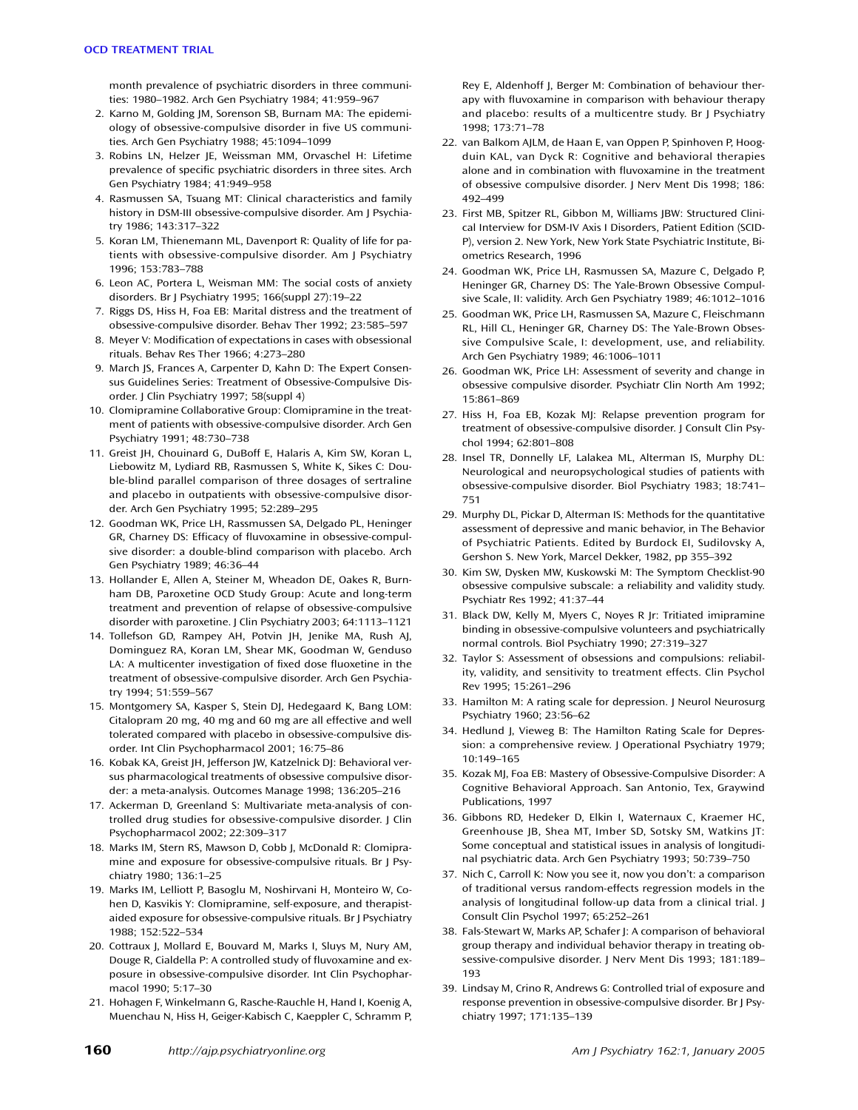month prevalence of psychiatric disorders in three communities: 1980–1982. Arch Gen Psychiatry 1984; 41:959–967

- 2. Karno M, Golding JM, Sorenson SB, Burnam MA: The epidemiology of obsessive-compulsive disorder in five US communities. Arch Gen Psychiatry 1988; 45:1094–1099
- 3. Robins LN, Helzer JE, Weissman MM, Orvaschel H: Lifetime prevalence of specific psychiatric disorders in three sites. Arch Gen Psychiatry 1984; 41:949–958
- 4. Rasmussen SA, Tsuang MT: Clinical characteristics and family history in DSM-III obsessive-compulsive disorder. Am J Psychiatry 1986; 143:317–322
- 5. Koran LM, Thienemann ML, Davenport R: Quality of life for patients with obsessive-compulsive disorder. Am J Psychiatry 1996; 153:783–788
- 6. Leon AC, Portera L, Weisman MM: The social costs of anxiety disorders. Br J Psychiatry 1995; 166(suppl 27):19–22
- 7. Riggs DS, Hiss H, Foa EB: Marital distress and the treatment of obsessive-compulsive disorder. Behav Ther 1992; 23:585–597
- 8. Meyer V: Modification of expectations in cases with obsessional rituals. Behav Res Ther 1966; 4:273–280
- 9. March JS, Frances A, Carpenter D, Kahn D: The Expert Consensus Guidelines Series: Treatment of Obsessive-Compulsive Disorder. J Clin Psychiatry 1997; 58(suppl 4)
- 10. Clomipramine Collaborative Group: Clomipramine in the treatment of patients with obsessive-compulsive disorder. Arch Gen Psychiatry 1991; 48:730–738
- 11. Greist JH, Chouinard G, DuBoff E, Halaris A, Kim SW, Koran L, Liebowitz M, Lydiard RB, Rasmussen S, White K, Sikes C: Double-blind parallel comparison of three dosages of sertraline and placebo in outpatients with obsessive-compulsive disorder. Arch Gen Psychiatry 1995; 52:289–295
- 12. Goodman WK, Price LH, Rassmussen SA, Delgado PL, Heninger GR, Charney DS: Efficacy of fluvoxamine in obsessive-compulsive disorder: a double-blind comparison with placebo. Arch Gen Psychiatry 1989; 46:36–44
- 13. Hollander E, Allen A, Steiner M, Wheadon DE, Oakes R, Burnham DB, Paroxetine OCD Study Group: Acute and long-term treatment and prevention of relapse of obsessive-compulsive disorder with paroxetine. J Clin Psychiatry 2003; 64:1113–1121
- 14. Tollefson GD, Rampey AH, Potvin JH, Jenike MA, Rush AJ, Dominguez RA, Koran LM, Shear MK, Goodman W, Genduso LA: A multicenter investigation of fixed dose fluoxetine in the treatment of obsessive-compulsive disorder. Arch Gen Psychiatry 1994; 51:559–567
- 15. Montgomery SA, Kasper S, Stein DJ, Hedegaard K, Bang LOM: Citalopram 20 mg, 40 mg and 60 mg are all effective and well tolerated compared with placebo in obsessive-compulsive disorder. Int Clin Psychopharmacol 2001; 16:75–86
- 16. Kobak KA, Greist JH, Jefferson JW, Katzelnick DJ: Behavioral versus pharmacological treatments of obsessive compulsive disorder: a meta-analysis. Outcomes Manage 1998; 136:205–216
- 17. Ackerman D, Greenland S: Multivariate meta-analysis of controlled drug studies for obsessive-compulsive disorder. J Clin Psychopharmacol 2002; 22:309–317
- 18. Marks IM, Stern RS, Mawson D, Cobb J, McDonald R: Clomipramine and exposure for obsessive-compulsive rituals. Br J Psychiatry 1980; 136:1–25
- 19. Marks IM, Lelliott P, Basoglu M, Noshirvani H, Monteiro W, Cohen D, Kasvikis Y: Clomipramine, self-exposure, and therapistaided exposure for obsessive-compulsive rituals. Br J Psychiatry 1988; 152:522–534
- 20. Cottraux J, Mollard E, Bouvard M, Marks I, Sluys M, Nury AM, Douge R, Cialdella P: A controlled study of fluvoxamine and exposure in obsessive-compulsive disorder. Int Clin Psychopharmacol 1990; 5:17–30
- 21. Hohagen F, Winkelmann G, Rasche-Rauchle H, Hand I, Koenig A, Muenchau N, Hiss H, Geiger-Kabisch C, Kaeppler C, Schramm P,
- 22. van Balkom AJLM, de Haan E, van Oppen P, Spinhoven P, Hoogduin KAL, van Dyck R: Cognitive and behavioral therapies alone and in combination with fluvoxamine in the treatment of obsessive compulsive disorder. J Nerv Ment Dis 1998; 186: 492–499
- 23. First MB, Spitzer RL, Gibbon M, Williams JBW: Structured Clinical Interview for DSM-IV Axis I Disorders, Patient Edition (SCID-P), version 2. New York, New York State Psychiatric Institute, Biometrics Research, 1996
- 24. Goodman WK, Price LH, Rasmussen SA, Mazure C, Delgado P, Heninger GR, Charney DS: The Yale-Brown Obsessive Compulsive Scale, II: validity. Arch Gen Psychiatry 1989; 46:1012–1016
- 25. Goodman WK, Price LH, Rasmussen SA, Mazure C, Fleischmann RL, Hill CL, Heninger GR, Charney DS: The Yale-Brown Obsessive Compulsive Scale, I: development, use, and reliability. Arch Gen Psychiatry 1989; 46:1006–1011
- 26. Goodman WK, Price LH: Assessment of severity and change in obsessive compulsive disorder. Psychiatr Clin North Am 1992; 15:861–869
- 27. Hiss H, Foa EB, Kozak MJ: Relapse prevention program for treatment of obsessive-compulsive disorder. J Consult Clin Psychol 1994; 62:801–808
- 28. Insel TR, Donnelly LF, Lalakea ML, Alterman IS, Murphy DL: Neurological and neuropsychological studies of patients with obsessive-compulsive disorder. Biol Psychiatry 1983; 18:741– 751
- 29. Murphy DL, Pickar D, Alterman IS: Methods for the quantitative assessment of depressive and manic behavior, in The Behavior of Psychiatric Patients. Edited by Burdock EI, Sudilovsky A, Gershon S. New York, Marcel Dekker, 1982, pp 355–392
- 30. Kim SW, Dysken MW, Kuskowski M: The Symptom Checklist-90 obsessive compulsive subscale: a reliability and validity study. Psychiatr Res 1992; 41:37–44
- 31. Black DW, Kelly M, Myers C, Noyes R Jr: Tritiated imipramine binding in obsessive-compulsive volunteers and psychiatrically normal controls. Biol Psychiatry 1990; 27:319–327
- 32. Taylor S: Assessment of obsessions and compulsions: reliability, validity, and sensitivity to treatment effects. Clin Psychol Rev 1995; 15:261–296
- 33. Hamilton M: A rating scale for depression. J Neurol Neurosurg Psychiatry 1960; 23:56–62
- 34. Hedlund J, Vieweg B: The Hamilton Rating Scale for Depression: a comprehensive review. J Operational Psychiatry 1979; 10:149–165
- 35. Kozak MJ, Foa EB: Mastery of Obsessive-Compulsive Disorder: A Cognitive Behavioral Approach. San Antonio, Tex, Graywind Publications, 1997
- 36. Gibbons RD, Hedeker D, Elkin I, Waternaux C, Kraemer HC, Greenhouse JB, Shea MT, Imber SD, Sotsky SM, Watkins JT: Some conceptual and statistical issues in analysis of longitudinal psychiatric data. Arch Gen Psychiatry 1993; 50:739–750
- 37. Nich C, Carroll K: Now you see it, now you don't: a comparison of traditional versus random-effects regression models in the analysis of longitudinal follow-up data from a clinical trial. J Consult Clin Psychol 1997; 65:252–261
- 38. Fals-Stewart W, Marks AP, Schafer J: A comparison of behavioral group therapy and individual behavior therapy in treating obsessive-compulsive disorder. J Nerv Ment Dis 1993; 181:189– 193
- 39. Lindsay M, Crino R, Andrews G: Controlled trial of exposure and response prevention in obsessive-compulsive disorder. Br J Psychiatry 1997; 171:135–139